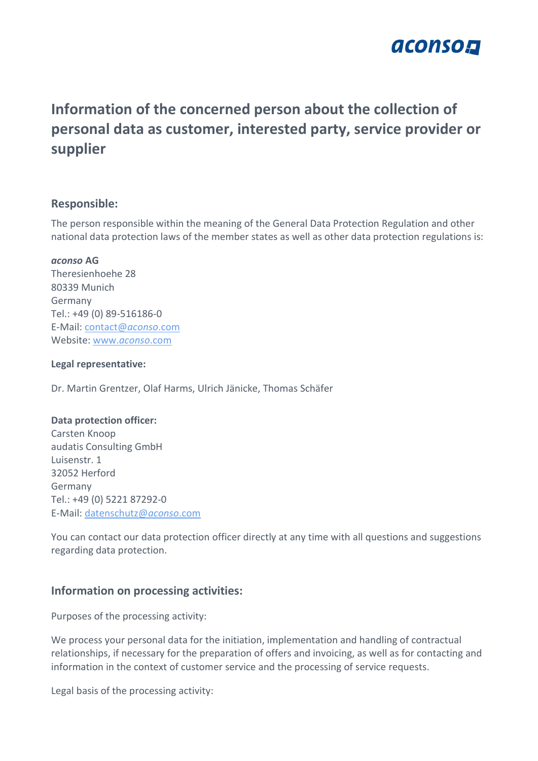

# **Information of the concerned person about the collection of personal data as customer, interested party, service provider or supplier**

## **Responsible:**

The person responsible within the meaning of the General Data Protection Regulation and other national data protection laws of the member states as well as other data protection regulations is:

#### *aconso* **AG**

Theresienhoehe 28 80339 Munich Germany Tel.: +49 (0) 89-516186-0 E-Mail: [contact@](mailto:contact@aconso.com)*aconso*.com Website: www.*[aconso](http://www.aconso.com/)*.com

#### **Legal representative:**

Dr. Martin Grentzer, Olaf Harms, Ulrich Jänicke, Thomas Schäfer

#### **Data protection officer:**

Carsten Knoop audatis Consulting GmbH Luisenstr. 1 32052 Herford Germany Tel.: +49 (0) 5221 87292-0 E-Mail: [datenschutz@](mailto:datenschutz@aconso.com)*aconso*.com

You can contact our data protection officer directly at any time with all questions and suggestions regarding data protection.

# **Information on processing activities:**

Purposes of the processing activity:

We process your personal data for the initiation, implementation and handling of contractual relationships, if necessary for the preparation of offers and invoicing, as well as for contacting and information in the context of customer service and the processing of service requests.

Legal basis of the processing activity: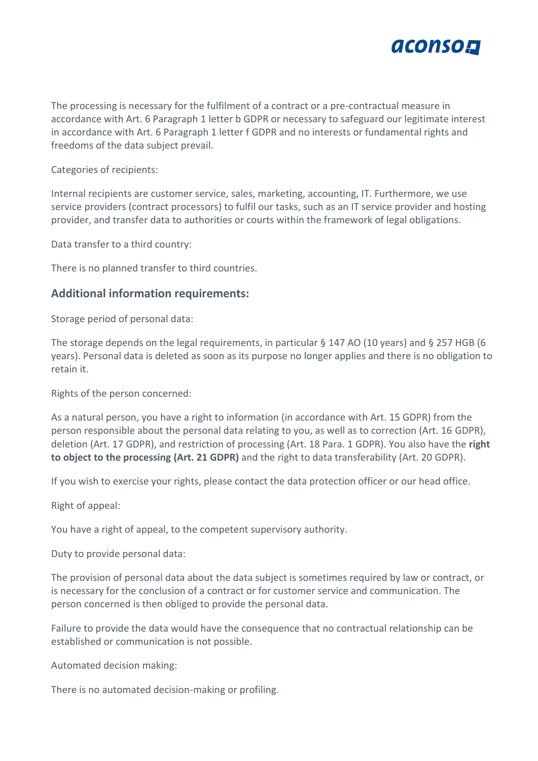

The processing is necessary for the fulfilment of a contract or a pre-contractual measure in accordance with Art. 6 Paragraph 1 letter b GDPR or necessary to safeguard our legitimate interest in accordance with Art. 6 Paragraph 1 letter f GDPR and no interests or fundamental rights and freedoms of the data subject prevail.

Categories of recipients:

Internal recipients are customer service, sales, marketing, accounting, IT. Furthermore, we use service providers (contract processors) to fulfil our tasks, such as an IT service provider and hosting provider, and transfer data to authorities or courts within the framework of legal obligations.

Data transfer to a third country:

There is no planned transfer to third countries.

## **Additional information requirements:**

Storage period of personal data:

The storage depends on the legal requirements, in particular § 147 AO (10 years) and § 257 HGB (6 years). Personal data is deleted as soon as its purpose no longer applies and there is no obligation to retain it.

Rights of the person concerned:

As a natural person, you have a right to information (in accordance with Art. 15 GDPR) from the person responsible about the personal data relating to you, as well as to correction (Art. 16 GDPR), deletion (Art. 17 GDPR), and restriction of processing (Art. 18 Para. 1 GDPR). You also have the **right to object to the processing (Art. 21 GDPR)** and the right to data transferability (Art. 20 GDPR).

If you wish to exercise your rights, please contact the data protection officer or our head office.

Right of appeal:

You have a right of appeal, to the competent supervisory authority.

Duty to provide personal data:

The provision of personal data about the data subject is sometimes required by law or contract, or is necessary for the conclusion of a contract or for customer service and communication. The person concerned is then obliged to provide the personal data.

Failure to provide the data would have the consequence that no contractual relationship can be established or communication is not possible.

Automated decision making:

There is no automated decision-making or profiling.